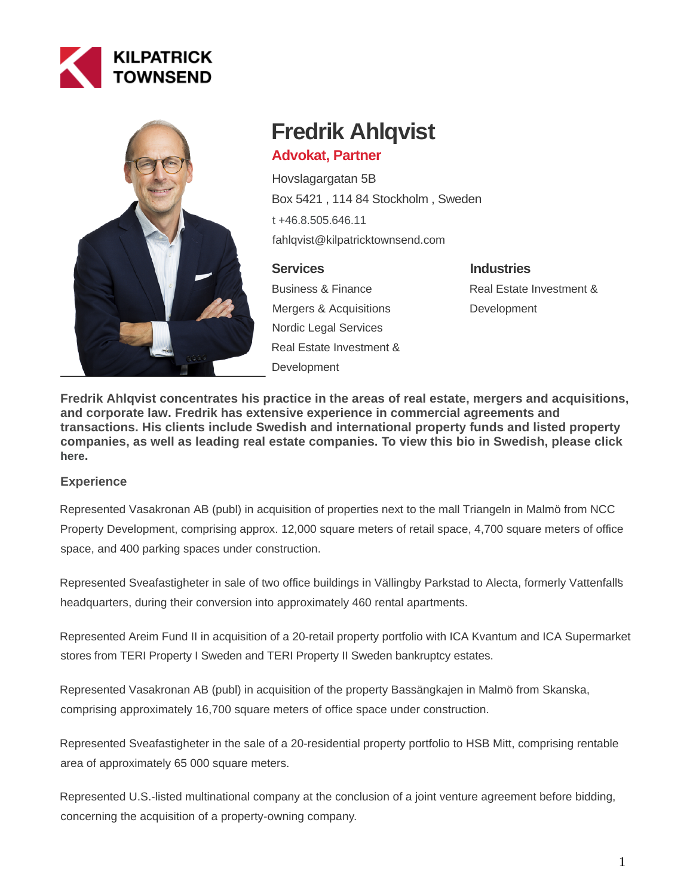



# **Fredrik Ahlqvist**

# **Advokat, Partner**

Hovslagargatan 5B Box 5421 , 114 84 Stockholm , Sweden [t +46.8.505.646.11](tel:+46.8.505.646.11) fahlqvist@kilpatricktownsend.com

# **Services**

Business & Finance Mergers & Acquisitions Nordic Legal Services Real Estate Investment & **Development** 

**Industries** Real Estate Investment & **Development** 

**Fredrik Ahlqvist concentrates his practice in the areas of real estate, mergers and acquisitions, and corporate law. Fredrik has extensive experience in commercial agreements and transactions. His clients include Swedish and international property funds and listed property companies, as well as leading real estate companies. To view this bio in Swedish, please click [here](http://www.kilpatricktownsend.se/medarbetare/fredrik-ahlqvist/).**

# **Experience**

Represented Vasakronan AB (publ) in acquisition of properties next to the mall Triangeln in Malmö from NCC Property Development, comprising approx. 12,000 square meters of retail space, 4,700 square meters of office space, and 400 parking spaces under construction.

Represented Sveafastigheter in sale of two office buildings in Vällingby Parkstad to Alecta, formerly Vattenfall's headquarters, during their conversion into approximately 460 rental apartments.

Represented Areim Fund II in acquisition of a 20-retail property portfolio with ICA Kvantum and ICA Supermarket stores from TERI Property I Sweden and TERI Property II Sweden bankruptcy estates.

Represented Vasakronan AB (publ) in acquisition of the property Bassängkajen in Malmö from Skanska, comprising approximately 16,700 square meters of office space under construction.

Represented Sveafastigheter in the sale of a 20-residential property portfolio to HSB Mitt, comprising rentable area of approximately 65 000 square meters.

Represented U.S.-listed multinational company at the conclusion of a joint venture agreement before bidding, concerning the acquisition of a property-owning company.